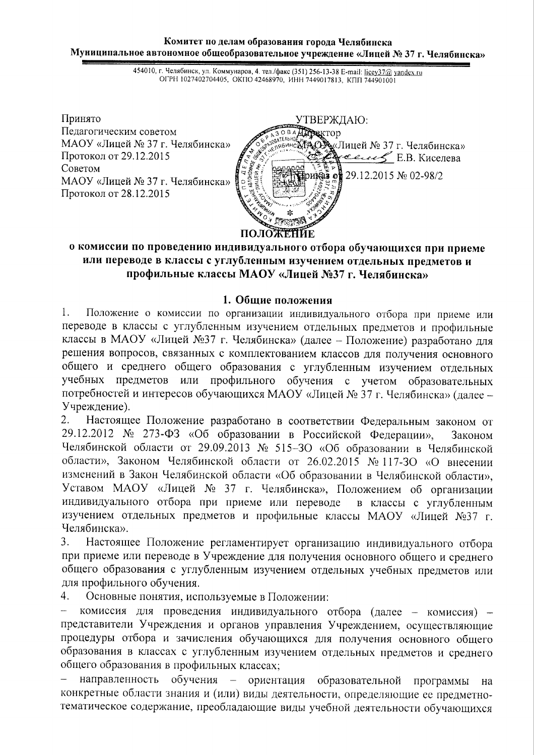#### Комитет по делам образования города Челябинска Муниципальное автономное общеобразовательное учреждение «Лицей № 37 г. Челябинска»

454010, г. Челябинск, ул. Коммунаров, 4. тел./факс (351) 256-13-38 E-mail: licey37@ yandex.ru OГРН 1027402704405, ОКПО 42468970, ИНН 7449017813, КПП 744901001



### о комиссии по проведению индивидуального отбора обучающихся при приеме или переводе в классы с углубленным изучением отдельных предметов и профильные классы МАОУ «Лицей №37 г. Челябинска»

#### 1. Общие положения

 $1<sup>1</sup>$ Положение о комиссии по организации индивидуального отбора при приеме или переводе в классы с углубленным изучением отдельных предметов и профильные классы в МАОУ «Лицей №37 г. Челябинска» (далее - Положение) разработано для решения вопросов, связанных с комплектованием классов для получения основного общего и среднего общего образования с углубленным изучением отдельных учебных предметов или профильного обучения с учетом образовательных потребностей и интересов обучающихся МАОУ «Лицей № 37 г. Челябинска» (далее -Учреждение).

Настоящее Положение разработано в соответствии Федеральным законом от  $2.$ 29.12.2012 № 273-ФЗ «Об образовании в Российской Федерации», Законом Челябинской области от 29.09.2013 № 515-30 «Об образовании в Челябинской области», Законом Челябинской области от 26.02.2015 № 117-30 «О внесении изменений в Закон Челябинской области «Об образовании в Челябинской области», Уставом МАОУ «Лицей № 37 г. Челябинска», Положением об организации индивидуального отбора при приеме или переводе в классы с углубленным изучением отдельных предметов и профильные классы МАОУ «Лицей №37 г. Челябинска».

Настоящее Положение регламентирует организацию индивидуального отбора  $3<sub>1</sub>$ при приеме или переводе в Учреждение для получения основного общего и среднего общего образования с углубленным изучением отдельных учебных предметов или для профильного обучения.

4. Основные понятия, используемые в Положении:

комиссия для проведения индивидуального отбора (далее - комиссия) представители Учреждения и органов управления Учреждением, осуществляющие процедуры отбора и зачисления обучающихся для получения основного обшего образования в классах с углубленным изучением отдельных предметов и среднего общего образования в профильных классах;

обучения - ориентация образовательной программы направленность на конкретные области знания и (или) виды деятельности, определяющие ее предметнотематическое содержание, преобладающие виды учебной деятельности обучающихся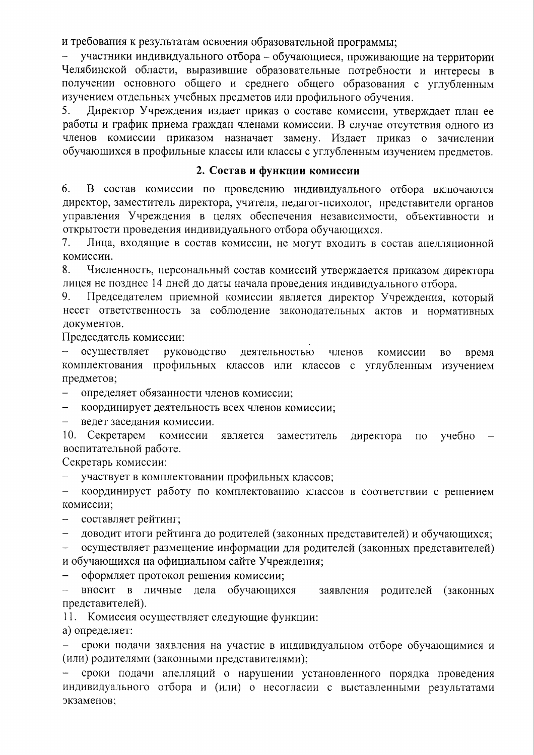и требования к результатам освоения образовательной программы;

участники индивидуального отбора - обучающиеся, проживающие на территории Челябинской области, выразившие образовательные потребности и интересы в получении основного общего и среднего общего образования с углубленным изучением отдельных учебных предметов или профильного обучения.

5. Директор Учреждения издает приказ о составе комиссии, утверждает план ее работы и график приема граждан членами комиссии. В случае отсутствия одного из членов комиссии приказом назначает замену. Издает приказ о зачислении обучающихся в профильные классы или классы с углубленным изучением предметов.

#### 2. Состав и функции комиссии

6. В состав комиссии по проведению индивидуального отбора включаются директор, заместитель директора, учителя, педагог-психолог, представители органов управления Учреждения в целях обеспечения независимости, объективности и открытости проведения индивидуального отбора обучающихся.

 $7<sub>1</sub>$ Лица, входящие в состав комиссии, не могут входить в состав апелляционной комиссии.

8. Численность, персональный состав комиссий утверждается приказом директора лицея не позднее 14 дней до даты начала проведения индивидуального отбора.

9. Председателем приемной комиссии является директор Учреждения, который несет ответственность за соблюдение законодательных актов и нормативных документов.

Председатель комиссии:

осуществляет руководство деятельностью членов комиссии время **BO** комплектования профильных классов или классов с углубленным изучением предметов;

определяет обязанности членов комиссии;

координирует деятельность всех членов комиссии;

ведет заседания комиссии.

10. Секретарем комиссии является заместитель директора  $\overline{10}$ учебно воспитательной работе.

Секретарь комиссии:

участвует в комплектовании профильных классов;  $\bar{\phantom{a}}$ 

координирует работу по комплектованию классов в соответствии с решением  $\frac{1}{2}$ комиссии;

составляет рейтинг;

доводит итоги рейтинга до родителей (законных представителей) и обучающихся;

осуществляет размещение информации для родителей (законных представителей) и обучающихся на официальном сайте Учреждения;

оформляет протокол решения комиссии;

вносит в личные дела обучающихся заявления родителей (законных представителей).

11. Комиссия осуществляет следующие функции:

а) определяет:

сроки подачи заявления на участие в индивидуальном отборе обучающимися и (или) родителями (законными представителями);

сроки подачи апелляций о нарушении установленного порядка проведения индивидуального отбора и (или) о несогласии с выставленными результатами экзаменов;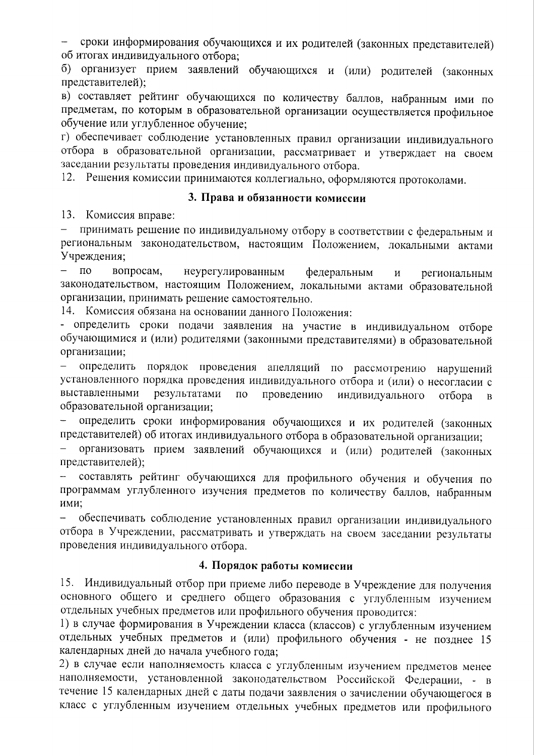сроки информирования обучающихся и их родителей (законных представителей) об итогах индивидуального отбора;

б) организует прием заявлений обучающихся и (или) родителей (законных представителей);

в) составляет рейтинг обучающихся по количеству баллов, набранным ими по предметам, по которым в образовательной организации осуществляется профильное обучение или углубленное обучение:

г) обеспечивает соблюдение установленных правил организации индивидуального отбора в образовательной организации, рассматривает и утверждает на своем заседании результаты проведения индивидуального отбора.

12. Решения комиссии принимаются коллегиально, оформляются протоколами.

#### 3. Права и обязанности комиссии

13. Комиссия вправе:

принимать решение по индивидуальному отбору в соответствии с федеральным и региональным законодательством, настоящим Положением, локальными актами Учреждения:

 $\equiv$  $\overline{10}$ вопросам. неурегулированным федеральным  $\mathbf{M}$ региональным законодательством, настоящим Положением, локальными актами образовательной организации, принимать решение самостоятельно.

14. Комиссия обязана на основании данного Положения:

- определить сроки подачи заявления на участие в индивидуальном отборе обучающимися и (или) родителями (законными представителями) в образовательной организации;

определить порядок проведения апелляций по рассмотрению нарушений  $\overline{\phantom{0}}$ установленного порядка проведения индивидуального отбора и (или) о несогласии с выставленными результатами  $\Pi$ O проведению индивидуального отбора  $\overline{B}$ образовательной организации;

определить сроки информирования обучающихся и их родителей (законных представителей) об итогах индивидуального отбора в образовательной организации;

организовать прием заявлений обучающихся и (или) родителей (законных представителей);

составлять рейтинг обучающихся для профильного обучения и обучения по программам углубленного изучения предметов по количеству баллов, набранным ими;

обеспечивать соблюдение установленных правил организации индивидуального  $\equiv$ отбора в Учреждении, рассматривать и утверждать на своем заседании результаты проведения индивидуального отбора.

## 4. Порядок работы комиссии

15. Индивидуальный отбор при приеме либо переводе в Учреждение для получения основного общего и среднего общего образования с углубленным изучением отдельных учебных предметов или профильного обучения проводится:

1) в случае формирования в Учреждении класса (классов) с углубленным изучением отдельных учебных предметов и (или) профильного обучения - не позднее 15 календарных дней до начала учебного года;

2) в случае если наполняемость класса с углубленным изучением предметов менее наполняемости, установленной законодательством Российской Федерации, - в течение 15 календарных дней с даты подачи заявления о зачислении обучающегося в класс с углубленным изучением отдельных учебных предметов или профильного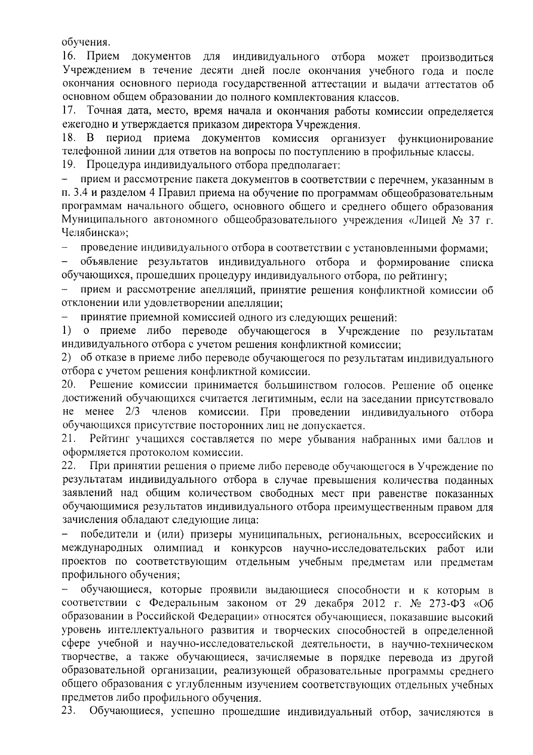обучения.

16. Прием документов для индивидуального отбора может производиться Учреждением в течение десяти дней после окончания учебного года и после окончания основного периода государственной аттестации и выдачи аттестатов об основном общем образовании до полного комплектования классов.

17. Точная дата, место, время начала и окончания работы комиссии определяется ежегодно и утверждается приказом директора Учреждения.

18. B период приема документов комиссия организует функционирование телефонной линии для ответов на вопросы по поступлению в профильные классы.

19. Процедура индивидуального отбора предполагает:

прием и рассмотрение пакета документов в соответствии с перечнем, указанным в п. 3.4 и разделом 4 Правил приема на обучение по программам общеобразовательным программам начального общего, основного общего и среднего общего образования Муниципального автономного общеобразовательного учреждения «Лицей № 37 г. Челябинска»;

проведение индивидуального отбора в соответствии с установленными формами;

объявление результатов индивидуального отбора и формирование списка обучающихся, прошедших процедуру индивидуального отбора, по рейтингу;

прием и рассмотрение апелляций, принятие решения конфликтной комиссии об отклонении или удовлетворении апелляции;

принятие приемной комиссией одного из следующих решений:

 $1)$ о приеме либо переводе обучающегося в Учреждение по результатам индивидуального отбора с учетом решения конфликтной комиссии;

2) об отказе в приеме либо переводе обучающегося по результатам индивидуального отбора с учетом решения конфликтной комиссии.

20. Решение комиссии принимается большинством голосов. Решение об оценке достижений обучающихся считается легитимным, если на заседании присутствовало He Mehee  $2/3$ членов комиссии. При проведении индивидуального отбора обучающихся присутствие посторонних лиц не допускается.

 $21.$ Рейтинг учащихся составляется по мере убывания набранных ими баллов и оформляется протоколом комиссии.

При принятии решения о приеме либо переводе обучающегося в Учреждение по 22. результатам индивидуального отбора в случае превышения количества поданных заявлений над общим количеством свободных мест при равенстве показанных обучающимися результатов индивидуального отбора преимущественным правом для зачисления обладают следующие лица:

победители и (или) призеры муниципальных, региональных, всероссийских и международных олимпиад и конкурсов научно-исследовательских работ или проектов по соответствующим отдельным учебным предметам или предметам профильного обучения:

обучающиеся, которые проявили выдающиеся способности и к которым в соответствии с Федеральным законом от 29 декабря 2012 г. № 273-ФЗ «Об образовании в Российской Федерации» относятся обучающиеся, показавшие высокий уровень интеллектуального развития и творческих способностей в определенной сфере учебной и научно-исследовательской деятельности, в научно-техническом творчестве, а также обучающиеся, зачисляемые в порядке перевода из другой образовательной организации, реализующей образовательные программы среднего общего образования с углубленным изучением соответствующих отдельных учебных предметов либо профильного обучения.

23. Обучающиеся, успешно прошедшие индивидуальный отбор, зачисляются в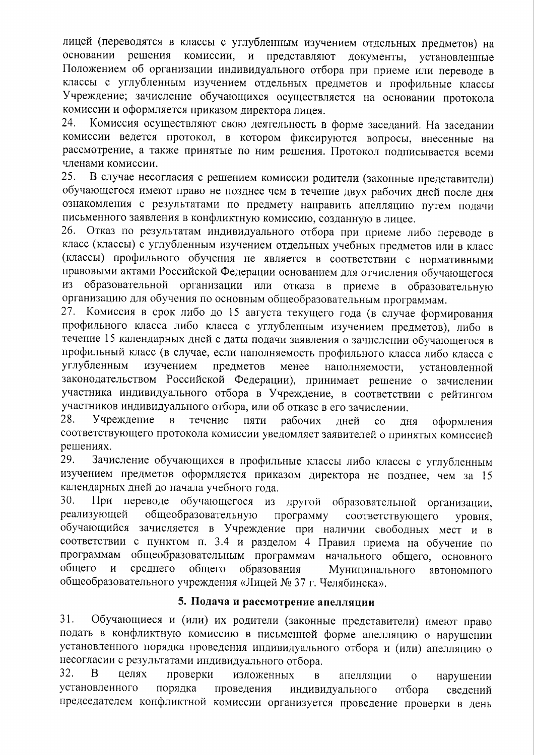лицей (переводятся в классы с углубленным изучением отдельных предметов) на основании решения комиссии, и представляют документы, установленные Положением об организации индивидуального отбора при приеме или переводе в классы с углубленным изучением отдельных предметов и профильные классы Учреждение; зачисление обучающихся осуществляется на основании протокола комиссии и оформляется приказом директора лицея.

24. Комиссия осуществляют свою деятельность в форме заседаний. На заседании комиссии ведется протокол, в котором фиксируются вопросы, внесенные на рассмотрение, а также принятые по ним решения. Протокол подписывается всеми членами комиссии.

25. В случае несогласия с решением комиссии родители (законные представители) обучающегося имеют право не позднее чем в течение двух рабочих дней после дня ознакомления с результатами по предмету направить апелляцию путем подачи письменного заявления в конфликтную комиссию, созданную в лицее.

26. Отказ по результатам индивидуального отбора при приеме либо переводе в класс (классы) с углубленным изучением отдельных учебных предметов или в класс (классы) профильного обучения не является в соответствии с нормативными правовыми актами Российской Федерации основанием для отчисления обучающегося образовательной организации или отказа в приеме в **ИЗ** образовательную организацию для обучения по основным общеобразовательным программам.

27. Комиссия в срок либо до 15 августа текущего года (в случае формирования профильного класса либо класса с углубленным изучением предметов), либо в течение 15 календарных дней с даты подачи заявления о зачислении обучающегося в профильный класс (в случае, если наполняемость профильного класса либо класса с углубленным изучением предметов менее наполняемости, установленной законодательством Российской Федерации), принимает решение о зачислении участника индивидуального отбора в Учреждение, в соответствии с рейтингом участников индивидуального отбора, или об отказе в его зачислении.

28. Учреждение  $\mathbf{B}$ течение ПЯТИ рабочих лней  $\overline{c}$ дня оформления соответствующего протокола комиссии уведомляет заявителей о принятых комиссией решениях.

Зачисление обучающихся в профильные классы либо классы с углубленным 29. изучением предметов оформляется приказом директора не позднее, чем за 15 календарных дней до начала учебного года.

При переводе обучающегося из другой образовательной организации,  $30.$ реализующей общеобразовательную программу соответствующего уровня. обучающийся зачисляется в Учреждение при наличии свободных мест и в соответствии с пунктом п. 3.4 и разделом 4 Правил приема на обучение по программам общеобразовательным программам начального общего, основного общего среднего общего  $\mathbf{M}$ образования Муниципального автономного общеобразовательного учреждения «Лицей № 37 г. Челябинска».

# 5. Подача и рассмотрение апелляции

 $31.$ Обучающиеся и (или) их родители (законные представители) имеют право подать в конфликтную комиссию в письменной форме апелляцию о нарушении установленного порядка проведения индивидуального отбора и (или) апелляцию о несогласии с результатами индивидуального отбора.

32.  $\mathbf{B}$ целях проверки изложенных апелляции  $\overline{R}$  $\overline{O}$ нарушении установленного порядка проведения индивидуального отбора сведений председателем конфликтной комиссии организуется проведение проверки в день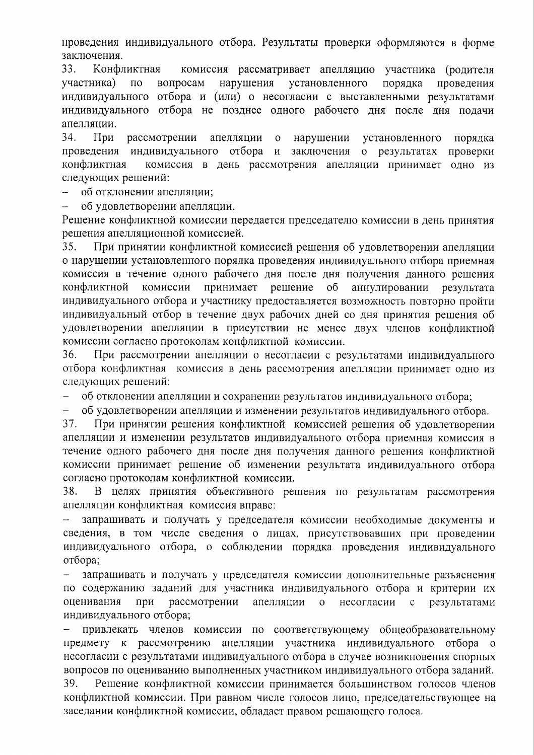проведения индивидуального отбора. Результаты проверки оформляются в форме заключения.

33. Конфликтная комиссия рассматривает апелляцию участника (родителя участника)  $\overline{10}$ вопросам нарушения установленного порядка проведения индивидуального отбора и (или) о несогласии с выставленными результатами индивидуального отбора не позднее одного рабочего дня после дня подачи апеллянии.

34.  $\Pi$ ри рассмотрении апелляции  $\mathbf{o}$ нарушении установленного порядка проведения индивидуального отбора  $\mathbf{M}$ заключения о результатах проверки конфликтная комиссия в день рассмотрения апелляции принимает одно из следующих решений:

об отклонении апелляции:

об удовлетворении апелляции.

Решение конфликтной комиссии передается председателю комиссии в день принятия решения апелляционной комиссией.

35. При принятии конфликтной комиссией решения об удовлетворении апелляции о нарушении установленного порядка проведения индивидуального отбора приемная комиссия в течение одного рабочего дня после дня получения данного решения конфликтной комиссии принимает решение  $\overline{00}$ аннулировании результата индивидуального отбора и участнику предоставляется возможность повторно пройти индивидуальный отбор в течение двух рабочих дней со дня принятия решения об удовлетворении апелляции в присутствии не менее двух членов конфликтной комиссии согласно протоколам конфликтной комиссии.

36. При рассмотрении апелляции о несогласии с результатами индивидуального отбора конфликтная комиссия в день рассмотрения апелляции принимает одно из следующих решений:

об отклонении апелляции и сохранении результатов индивидуального отбора;  $\equiv$ 

 $\frac{1}{2}$ об удовлетворении апелляции и изменении результатов индивидуального отбора.

37. При принятии решения конфликтной комиссией решения об удовлетворении апелляции и изменении результатов индивидуального отбора приемная комиссия в течение одного рабочего дня после дня получения данного решения конфликтной комиссии принимает решение об изменении результата индивидуального отбора согласно протоколам конфликтной комиссии.

В целях принятия объективного решения по результатам рассмотрения 38. апелляции конфликтная комиссия вправе:

запрашивать и получать у председателя комиссии необходимые документы и сведения, в том числе сведения о лицах, присутствовавших при проведении индивидуального отбора, о соблюдении порядка проведения индивидуального отбора:

запрашивать и получать у председателя комиссии дополнительные разъяснения по содержанию заданий для участника индивидуального отбора и критерии их оценивания при рассмотрении апелляции  $\overline{O}$ несогласии с результатами индивидуального отбора;

привлекать членов комиссии по соответствующему общеобразовательному предмету к рассмотрению апелляции участника индивидуального отбора о несогласии с результатами индивидуального отбора в случае возникновения спорных вопросов по оцениванию выполненных участником индивидуального отбора заданий.

39. Решение конфликтной комиссии принимается большинством голосов членов конфликтной комиссии. При равном числе голосов лицо, председательствующее на заседании конфликтной комиссии, обладает правом решающего голоса.